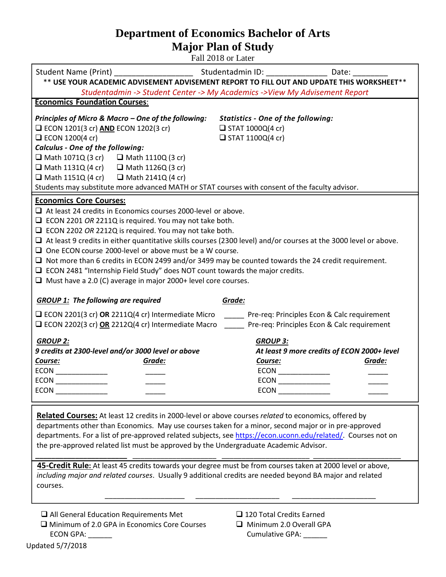## **Department of Economics Bachelor of Arts Major Plan of Study**

Fall 2018 or Later

| ** USE YOUR ACADEMIC ADVISEMENT ADVISEMENT REPORT TO FILL OUT AND UPDATE THIS WORKSHEET**                                                                                                                                                                                                                                                                                                                                                                                                                                                                                                                                                                                                                          |                                                                                                                                                                                                                                |  |  |  |  |  |  |  |
|--------------------------------------------------------------------------------------------------------------------------------------------------------------------------------------------------------------------------------------------------------------------------------------------------------------------------------------------------------------------------------------------------------------------------------------------------------------------------------------------------------------------------------------------------------------------------------------------------------------------------------------------------------------------------------------------------------------------|--------------------------------------------------------------------------------------------------------------------------------------------------------------------------------------------------------------------------------|--|--|--|--|--|--|--|
| Studentadmin -> Student Center -> My Academics -> View My Advisement Report                                                                                                                                                                                                                                                                                                                                                                                                                                                                                                                                                                                                                                        |                                                                                                                                                                                                                                |  |  |  |  |  |  |  |
| <b>Economics Foundation Courses:</b>                                                                                                                                                                                                                                                                                                                                                                                                                                                                                                                                                                                                                                                                               |                                                                                                                                                                                                                                |  |  |  |  |  |  |  |
| Principles of Micro & Macro - One of the following:<br>$\Box$ ECON 1201(3 cr) AND ECON 1202(3 cr)<br>$\Box$ ECON 1200(4 cr)<br><b>Calculus - One of the following:</b><br>$\Box$ Math 1071Q (3 cr) $\Box$ Math 1110Q (3 cr)<br>$\Box$ Math 1131Q (4 cr) $\Box$ Math 1126Q (3 cr)<br>$\Box$ Math 1151Q (4 cr) $\Box$ Math 2141Q (4 cr)                                                                                                                                                                                                                                                                                                                                                                              | <b>Statistics - One of the following:</b><br>$\Box$ STAT 1000Q(4 cr)<br>$\Box$ STAT 1100Q(4 cr)                                                                                                                                |  |  |  |  |  |  |  |
| Students may substitute more advanced MATH or STAT courses with consent of the faculty advisor.                                                                                                                                                                                                                                                                                                                                                                                                                                                                                                                                                                                                                    |                                                                                                                                                                                                                                |  |  |  |  |  |  |  |
| <b>Economics Core Courses:</b><br>$\Box$ At least 24 credits in Economics courses 2000-level or above.<br>$\Box$ ECON 2201 OR 2211Q is required. You may not take both.<br>$\Box$ ECON 2202 OR 2212Q is required. You may not take both.<br>$\Box$ At least 9 credits in either quantitative skills courses (2300 level) and/or courses at the 3000 level or above.<br>$\Box$ One ECON course 2000-level or above must be a W course.<br>$\Box$ Not more than 6 credits in ECON 2499 and/or 3499 may be counted towards the 24 credit requirement.<br>$\Box$ ECON 2481 "Internship Field Study" does NOT count towards the major credits.<br>$\Box$ Must have a 2.0 (C) average in major 2000+ level core courses. |                                                                                                                                                                                                                                |  |  |  |  |  |  |  |
| <b>GROUP 1:</b> The following are required<br>Grade:                                                                                                                                                                                                                                                                                                                                                                                                                                                                                                                                                                                                                                                               |                                                                                                                                                                                                                                |  |  |  |  |  |  |  |
| ECON 2201(3 cr) OR 2211Q(4 cr) Intermediate Micro _____ Pre-req: Principles Econ & Calc requirement<br>□ ECON 2202(3 cr) OR 2212Q(4 cr) Intermediate Macro Pre-req: Principles Econ & Calc requirement                                                                                                                                                                                                                                                                                                                                                                                                                                                                                                             |                                                                                                                                                                                                                                |  |  |  |  |  |  |  |
| <b>GROUP 2:</b><br>9 credits at 2300-level and/or 3000 level or above                                                                                                                                                                                                                                                                                                                                                                                                                                                                                                                                                                                                                                              | <b>GROUP 3:</b><br>At least 9 more credits of ECON 2000+ level                                                                                                                                                                 |  |  |  |  |  |  |  |
| Grade:<br>Course:                                                                                                                                                                                                                                                                                                                                                                                                                                                                                                                                                                                                                                                                                                  | Grade:<br>Course:                                                                                                                                                                                                              |  |  |  |  |  |  |  |
| $ECON$ _____________                                                                                                                                                                                                                                                                                                                                                                                                                                                                                                                                                                                                                                                                                               |                                                                                                                                                                                                                                |  |  |  |  |  |  |  |
| ECON <b>EXECUTATION</b>                                                                                                                                                                                                                                                                                                                                                                                                                                                                                                                                                                                                                                                                                            | ECON POWER PRODUCED PRODUCED PRODUCED PRODUCED PRODUCED PRODUCED PRODUCED PRODUCED PRODUCED PRODUCED PRODUCED PRODUCED PRODUCED PRODUCED PRODUCED PRODUCED PRODUCED PRODUCED PRODUCED PRODUCED PRODUCED PRODUCED PRODUCED PROD |  |  |  |  |  |  |  |

**Related Courses:** At least 12 credits in 2000-level or above courses *related* to economics, offered by departments other than Economics. May use courses taken for a minor, second major or in pre-approved departments. For a list of pre-approved related subjects, see https://econ.uconn.edu/related/. Courses not on the pre-approved related list must be approved by the Undergraduate Academic Advisor.

**45-Credit Rule:** At least 45 credits towards your degree must be from courses taken at 2000 level or above, *including major and related courses*. Usually 9 additional credits are needed beyond BA major and related courses.

\_\_\_\_\_\_\_\_\_\_\_\_\_\_\_\_\_\_\_\_ \_\_\_\_\_\_\_\_\_\_\_\_\_\_\_\_\_\_\_\_\_ \_\_\_\_\_\_\_\_\_\_\_\_\_\_\_\_\_\_\_\_\_

**\_\_\_\_\_\_\_\_\_\_\_\_\_\_\_\_\_\_\_\_\_\_\_** \_\_\_\_\_\_\_\_\_\_\_\_\_\_\_\_\_\_\_\_\_ \_\_\_\_\_\_\_\_\_\_\_\_\_\_\_\_\_\_\_\_\_\_ \_\_\_\_\_\_\_\_\_\_\_\_\_\_\_\_\_\_\_\_\_\_

 $\Box$  All General Education Requirements Met  $\Box$  120 Total Credits Earned  $\Box$  Minimum of 2.0 GPA in Economics Core Courses  $\Box$  Minimum 2.0 Overall GPA ECON GPA: \_\_\_\_\_\_ Cumulative GPA: \_\_\_\_\_\_

- 
-